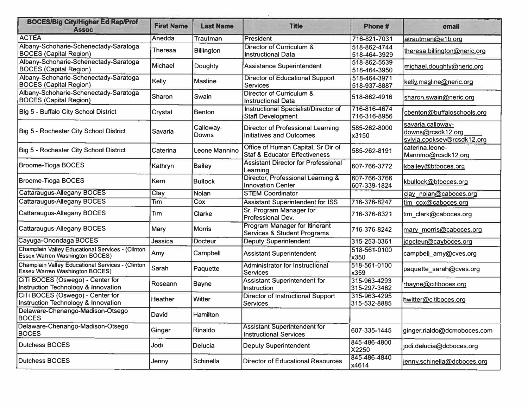| <b>BOCES/Big City/Higher Ed Rep/Prof</b><br><b>Assoc</b>                                         | <b>First Name</b> | <b>Last Name</b>   | <b>Title</b>                                                                   | Phone #                      | email                                                                |
|--------------------------------------------------------------------------------------------------|-------------------|--------------------|--------------------------------------------------------------------------------|------------------------------|----------------------------------------------------------------------|
| <b>ACTEA</b>                                                                                     | Anedda            | Trautman           | President                                                                      | 716-821-7031                 | atrautman@e1b.org                                                    |
| Albany-Schoharie-Schenectady-Saratoga<br><b>BOCES (Capital Region)</b>                           | Theresa           | <b>Billington</b>  | Director of Curriculum &<br><b>Instructional Data</b>                          | 518-862-4744<br>518-464-3929 | theresa.billington@neric.org                                         |
| Albany-Schoharie-Schenectady-Saratoga<br><b>BOCES</b> (Capital Region)                           | <b>Michael</b>    | Doughty            | <b>Assistance Superintendent</b>                                               | 518-862-5539<br>518-464-3950 | michael.doughty@neric.org                                            |
| Albany-Schoharie-Schenectady-Saratoga<br><b>BOCES (Capital Region)</b>                           | Kelly             | <b>Masline</b>     | Director of Educational Support<br><b>Services</b>                             | 518-464-3971<br>518-937-8887 | kelly.masline@neric.org                                              |
| Albany-Schoharie-Schenectady-Saratoga<br><b>BOCES (Capital Region)</b>                           | Sharon            | Swain              | Director of Curriculum &<br><b>Instructional Data</b>                          | 518-862-4916                 | sharon.swain@neric.org                                               |
| Big 5 - Buffalo City School District                                                             | Crystal           | Benton             | Instructional Specialist/Director of<br>Staff Development                      | 716-816-4674<br>716-316-8956 | cbenton@buffaloschools.org                                           |
| Big 5 - Rochester City School District                                                           | Savaria           | Calloway-<br>Downs | Director of Professional Learning<br><b>Initiatives and Outcomes</b>           | 585-262-8000<br>x3150        | savaria.calloway-<br>downs@rcsdk12.org<br>svlvia.cooksey@rcsdk12.org |
| Big 5 - Rochester City School District                                                           | Caterina          | Leone Mannino      | Office of Human Capital, Sr Dir of<br><b>Staf &amp; Educator Effectiveness</b> | 585-262-8191                 | caterina.leone-<br>Mannino@rcsdk12.org                               |
| <b>Broome-Tioga BOCES</b>                                                                        | Kathryn           | <b>Bailey</b>      | <b>Assistant Director for Professional</b><br>Learning                         | 607-766-3772                 | kbailey@btboces.org                                                  |
| <b>Broome-Tioga BOCES</b>                                                                        | Kerri             | <b>Bullock</b>     | Director, Professional Learning &<br><b>Innovation Center</b>                  | 607-766-3766<br>607-339-1824 | kbullock@btboces.org                                                 |
| <b>Cattaraugus-Allegany BOCES</b>                                                                | Clay              | Nolan              | <b>STEM Coordinator</b>                                                        |                              | clay nolan@caboces.org                                               |
| <b>Cattaraugus-Allegany BOCES</b>                                                                | Tim               | Cox                | <b>Assistant Superintendent for ISS</b>                                        | 716-376-8247                 | tim cox@caboces.org                                                  |
| <b>Cattaraugus-Allegany BOCES</b>                                                                | Tim               | <b>Clarke</b>      | Sr. Program Manager for<br>Professional Dev.                                   | 716-376-8321                 | tim_clark@caboces.org                                                |
| <b>Cattaraugus-Allegany BOCES</b>                                                                | Mary              | <b>Morris</b>      | Program Manager for Itinerant<br><b>Services &amp; Student Programs</b>        | 716-376-8242                 | mary_morris@caboces.org                                              |
| Cayuga-Onondaga BOCES                                                                            | Jessica           | <b>Docteur</b>     | <b>Deputy Superintendent</b>                                                   | 315-253-0361                 | jdocteur@cayboces.org                                                |
| <b>Champlain Valley Educational Services - (Clinton</b><br><b>Essex Warren Washington BOCES)</b> | Amy               | Campbell           | <b>Assistant Superintendent</b>                                                | 518-561-0100<br>x350         | campbell amy@cves.org                                                |
| Champlain Valley Educational Services - (Clinton<br><b>Essex Warren Washington BOCES)</b>        | Sarah             | Paquette           | <b>Administrator for Instructional</b><br>Services                             | 518-561-0100<br>x359         | paquette_sarah@cves.org                                              |
| CiTi BOCES (Oswego) - Center for<br>Instruction Technology & Innovation                          | Roseann           | <b>Bayne</b>       | <b>Assistant Superintendent for</b><br>Instruction                             | 315-963-4293<br>315-297-3462 | rbayne@citiboces.org                                                 |
| CiTi BOCES (Oswego) - Center for<br><b>Instruction Technology &amp; Innovation</b>               | Heather           | Witter             | <b>Director of Instructional Support</b><br>Services                           | 315-963-4295<br>315-532-8885 | hwitter@citiboces.org                                                |
| Delaware-Chenango-Madison-Otsego<br><b>BOCES</b>                                                 | David             | Hamilton           |                                                                                |                              |                                                                      |
| Delaware-Chenango-Madison-Otsego<br><b>BOCES</b>                                                 | Ginger            | Rinaldo            | <b>Assistant Superintendent for</b><br><b>Instructional Services</b>           | 607-335-1445                 | ginger.rialdo@dcmoboces.com                                          |
| <b>Dutchess BOCES</b>                                                                            | Jodi              | Delucia            | <b>Deputy Superintendent</b>                                                   | 845-486-4800<br>X2250        | jodi.delucia@dcboces.org                                             |
| <b>Dutchess BOCES</b>                                                                            | Jenny             | Schinella          | <b>Director of Educational Resources</b>                                       | 845-486-4840<br>x4614        | jenny.schinella@dcboces.org                                          |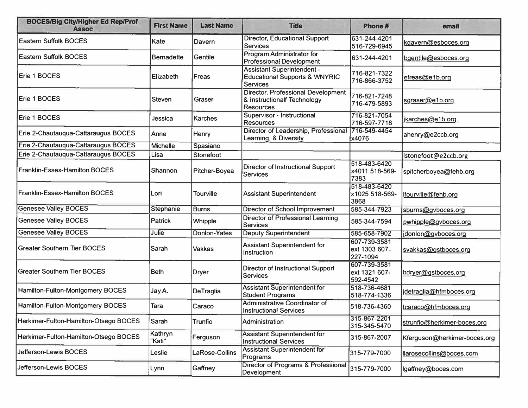| <b>BOCES/Big City/Higher Ed Rep/Prof</b><br><b>Assoc</b> | <b>First Name</b> | <b>Last Name</b>    | <b>Title</b>                                                                                     | Phone #                                   | email                        |
|----------------------------------------------------------|-------------------|---------------------|--------------------------------------------------------------------------------------------------|-------------------------------------------|------------------------------|
| <b>Eastern Suffolk BOCES</b>                             | Kate              | Davern              | <b>Director, Educational Support</b><br><b>Services</b>                                          | 631-244-4201<br>516-729-6945              | kdavern@esboces.org          |
| <b>Eastern Suffolk BOCES</b>                             | <b>Bernadette</b> | Gentile             | Program Administrator for<br><b>Professional Development</b>                                     | 631-244-4201                              | bgentile@esboces.org         |
| Erie 1 BOCES                                             | Elizabeth         | Freas               | <b>Assistant Superintendent -</b><br><b>Educational Supports &amp; WNYRIC</b><br><b>Services</b> | 716-821-7322<br>716-866-3752              | efreas@e1b.org               |
| Erie 1 BOCES                                             | <b>Steven</b>     | Graser              | Director, Professional Development<br>& Instructionalf Technology<br><b>Resources</b>            | 716-821-7248<br>716-479-5893              | sgraser@e1b.org              |
| Erie 1 BOCES                                             | Jessica           | <b>Karches</b>      | Supervisor - Instructional<br><b>Resources</b>                                                   | 716-821-7054<br>716-597-7718              | jkarches@e1b.org             |
| Erie 2-Chautauqua-Cattaraugus BOCES                      | Anne              | Henry               | Director of Leadership, Professional 716-549-4454<br>Learning, & Diversity                       | x4076                                     | ahenry@e2ccb.org             |
| Erie 2-Chautauqua-Cattaraugus BOCES                      | <b>Michelle</b>   | Spasiano            |                                                                                                  |                                           |                              |
| Erie 2-Chautauqua-Cattaraugus BOCES                      | Lisa              | Stonefoot           |                                                                                                  |                                           | Istonefoot@e2ccb.org         |
| Franklin-Essex-Hamilton BOCES                            | Shannon           | Pitcher-Boyea       | <b>Director of Instructional Support</b><br>Services                                             | 518-483-6420<br>x4011 518-569-<br>7383    | spitcherboyea@fehb.org       |
| <b>Franklin-Essex-Hamilton BOCES</b>                     | Lori              | <b>Tourville</b>    | <b>Assistant Superintendent</b>                                                                  | 518-483-6420<br>x1025 518-569-<br>3868    | tourville@fehb.org           |
| <b>Genesee Valley BOCES</b>                              | Stephanie         | <b>Burns</b>        | <b>Director of School Improvement</b>                                                            | 585-344-7923                              | sburns@gvboces.org           |
| <b>Genesee Valley BOCES</b>                              | <b>Patrick</b>    | Whipple             | <b>Director of Professional Learning</b><br><b>Services</b>                                      | 585-344-7594                              | pwhipple@gvboces.org         |
| <b>Genesee Valley BOCES</b>                              | Julie             | <b>Donlon-Yates</b> | <b>Deputy Superintendent</b>                                                                     | 585-658-7902                              | idonlon@gvboces.org          |
| <b>Greater Southern Tier BOCES</b>                       | Sarah             | <b>Vakkas</b>       | <b>Assistant Superintendent for</b><br>Instruction                                               | 607-739-3581<br>ext 1303 607-<br>227-1094 | svakkas@gstboces.org         |
| <b>Greater Southern Tier BOCES</b>                       | <b>Beth</b>       | Dryer               | <b>Director of Instructional Support</b><br><b>Services</b>                                      | 607-739-3581<br>ext 1321 607-<br>592-4542 | bdryer@gstboces.org          |
| Hamilton-Fulton-Montgomery BOCES                         | Jay A.            | DeTraglia           | <b>Assistant Superintendent for</b><br><b>Student Programs</b>                                   | 518-736-4681<br>518-774-1336              | idetraglia@hfmboces.org      |
| Hamilton-Fulton-Montgomery BOCES                         | Tara              | Caraco              | Administrative Coordinator of<br><b>Instructional Services</b>                                   | 518-736-4360                              | tcaraco@hfmboces.org         |
| Herkimer-Fulton-Hamilton-Otsego BOCES                    | Sarah             | Trunfio             | Administration                                                                                   | 315-867-2201<br>315-345-5470              | strunfio@herkimer-boces.org  |
| Herkimer-Fulton-Hamilton-Otsego BOCES                    | Kathryn<br>"Kati" | Ferguson            | <b>Assistant Superintendent for</b><br><b>Instructional Services</b>                             | 315-867-2007                              | Kferguson@herkimer-boces.org |
| Jefferson-Lewis BOCES                                    | Leslie            | LaRose-Collins      | <b>Assistant Superintendent for</b><br>Programs                                                  | 315-779-7000                              | llarosecollins@boces.com     |
| Jefferson-Lewis BOCES                                    | Lynn              | Gaffney             | Director of Programs & Professional<br><b>Development</b>                                        | 315-779-7000                              | lgaffney@boces.com           |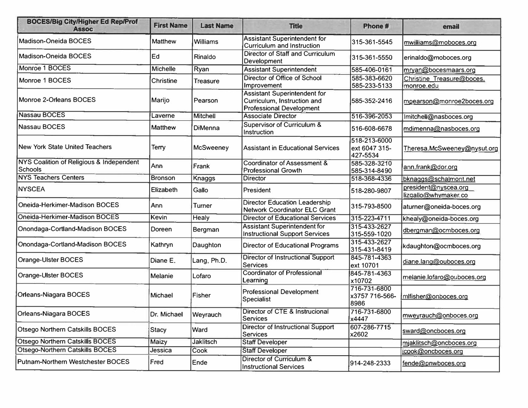| <b>BOCES/Big City/Higher Ed Rep/Prof</b><br><b>Assoc</b>   | <b>First Name</b> | <b>Last Name</b> | <b>Title</b>                                                                                          | Phone #                                   | email                                        |
|------------------------------------------------------------|-------------------|------------------|-------------------------------------------------------------------------------------------------------|-------------------------------------------|----------------------------------------------|
| Madison-Oneida BOCES                                       | <b>Matthew</b>    | <b>Williams</b>  | <b>Assistant Superintendent for</b><br><b>Curriculum and Instruction</b>                              | 315-361-5545                              | mwilliams@moboces.org                        |
| Madison-Oneida BOCES                                       | Ed                | Rinaldo          | Director of Staff and Curriculum<br>Development                                                       | 315-361-5550                              | erinaldo@moboces.org                         |
| Monroe 1 BOCES                                             | Michelle          | Ryan             | <b>Assistant Superintendent</b>                                                                       | 585-406-0161                              | mrvan@bocesmaars.org                         |
| Monroe 1 BOCES                                             | Christine         | Treasure         | Director of Office of School<br><b>Improvement</b>                                                    | 585-383-6620<br>585-233-5133              | Christine Treasure@boces.<br>monroe.edu      |
| Monroe 2-Orleans BOCES                                     | Marijo            | Pearson          | <b>Assistant Superintendent for</b><br>Curriculum, Instruction and<br><b>Professional Development</b> | 585-352-2416                              | mpearson@monroe2boces.org                    |
| <b>Nassau BOCES</b>                                        | Laverne           | <b>Mitchell</b>  | <b>Associate Director</b>                                                                             | 516-396-2053                              | Imitchell@nasboces.org                       |
| <b>Nassau BOCES</b>                                        | <b>Matthew</b>    | <b>DiMenna</b>   | <b>Supervisor of Curriculum &amp;</b><br>Instruction                                                  | 516-608-6678                              | mdimenna@nasboces.org                        |
| <b>New York State United Teachers</b>                      | Terry             | <b>McSweeney</b> | <b>Assistant in Educational Services</b>                                                              | 518-213-6000<br>ext 6047 315-<br>427-5534 | Theresa.McSweeney@nysut.org                  |
| NYS Coalition of Religious & Independent<br><b>Schools</b> | Ann               | Frank            | Coordinator of Assessment &<br><b>Professional Growth</b>                                             | 585-328-3210<br>585-314-8490              | ann.frank@dor.org                            |
| <b>NYS Teachers Centers</b>                                | Bronson           | Knaggs           | <b>Director</b>                                                                                       | 518-368-4336                              | bknaggs@schalmont.net                        |
| <b>NYSCEA</b>                                              | Elizabeth         | Gallo            | President                                                                                             | 518-280-9807                              | president@nyscea.org<br>lizgallo@whymaker.co |
| Oneida-Herkimer-Madison BOCES                              | Ann               | Turner           | <b>Director Education Leadership</b><br>Network Coordinator ELC Grant                                 | 315-793-8500                              | aturner@oneida-boces.org                     |
| Oneida-Herkimer-Madison BOCES                              | <b>Kevin</b>      | Healy            | <b>Director of Educational Services</b>                                                               | 315-223-4711                              | khealy@oneida-boces.org                      |
| Onondaga-Cortland-Madison BOCES                            | Doreen            | Bergman          | <b>Assistant Superintendent for</b><br><b>Instructional Support Services</b>                          | 315-433-2627<br>315-559-1020              | dbergman@ocmboces.org                        |
| Onondaga-Cortland-Madison BOCES                            | Kathryn           | Daughton         | <b>Director of Educational Programs</b>                                                               | 315-433-2627<br>315-431-8419              | kdaughton@ocmboces.org                       |
| Orange-Ulster BOCES                                        | Diane E.          | Lang, Ph.D.      | <b>Director of Instructional Support</b><br><b>Services</b>                                           | 845-781-4363<br>ext 10701                 | diane.lang@ouboces.org                       |
| Orange-Ulster BOCES                                        | Melanie           | Lofaro           | <b>Coordinator of Professional</b><br>Learning                                                        | 845-781-4363<br>x10702                    | melanie.lofaro@ouboces.org                   |
| Orleans-Niagara BOCES                                      | Michael           | Fisher           | <b>Professional Development</b><br><b>Specialist</b>                                                  | 716-731-6800<br>x3757 716-566-<br>8986    | mlfisher@onboces.org                         |
| Orleans-Niagara BOCES                                      | Dr. Michael       | Weyrauch         | Director of CTE & Instrucional<br><b>Services</b>                                                     | 716-731-6800<br>x4447                     | mweyrauch@onboces.org                        |
| <b>Otsego Northern Catskills BOCES</b>                     | <b>Stacy</b>      | Ward             | <b>Director of Instructional Support</b><br>Services                                                  | 607-286-7715<br>x2602                     | sward@oncboces.org                           |
| <b>Otsego Northern Catskills BOCES</b>                     | Maizy             | <b>Jaklitsch</b> | <b>Staff Developer</b>                                                                                |                                           | mjaklitsch@oncboces.org                      |
| Otsego-Northern Catskills BOCES                            | Jessica           | Cook             | <b>Staff Developer</b>                                                                                |                                           | jcook@oncboces.org                           |
| Putnam-Northern Westchester BOCES                          | Fred              | Ende             | Director of Curriculum &<br><b>Instructional Services</b>                                             | 914-248-2333                              | fende@pnwboces.org                           |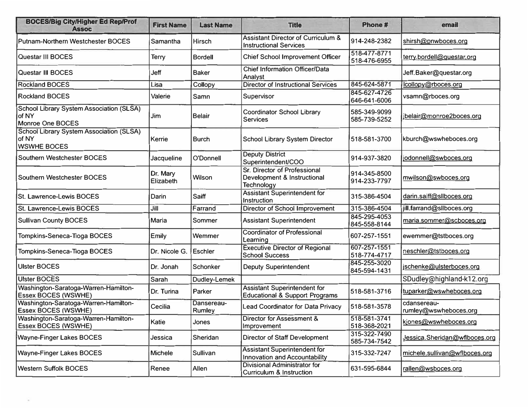| <b>BOCES/Big City/Higher Ed Rep/Prof</b><br><b>Assoc</b>                       | <b>First Name</b>     | <b>Last Name</b>     | <b>Title</b>                                                                     | Phone #                      | email                                |
|--------------------------------------------------------------------------------|-----------------------|----------------------|----------------------------------------------------------------------------------|------------------------------|--------------------------------------|
| <b>Putnam-Northern Westchester BOCES</b>                                       | Samantha              | Hirsch               | <b>Assistant Director of Curriculum &amp;</b><br><b>Instructional Services</b>   | 914-248-2382                 | shirsh@pnwboces.org                  |
| Questar III BOCES                                                              | Terry                 | <b>Bordell</b>       | <b>Chief School Improvement Officer</b>                                          | 518-477-8771<br>518-476-6955 | terry.bordell@guestar.org            |
| Questar III BOCES                                                              | Jeff                  | <b>Baker</b>         | <b>Chief Information Officer/Data</b><br>Analyst                                 |                              | Jeff.Baker@questar.org               |
| <b>Rockland BOCES</b>                                                          | Lisa                  | Collopy              | <b>Director of Instructional Services</b>                                        | 845-624-5871                 | lcollopy@rboces.org                  |
| <b>Rockland BOCES</b>                                                          | Valerie               | Samn                 | Supervisor                                                                       | 845-627-4726<br>646-641-6006 | vsamn@rboces.org                     |
| <b>School Library System Association (SLSA)</b><br>of NY<br>Monroe One BOCES   | Jim                   | <b>Belair</b>        | Coordinator School Library<br><b>Services</b>                                    | 585-349-9099<br>585-739-5252 | ibelair@monroe2boces.org             |
| <b>School Library System Association (SLSA)</b><br>of NY<br><b>WSWHE BOCES</b> | Kerrie                | <b>Burch</b>         | <b>School Library System Director</b>                                            | 518-581-3700                 | kburch@wswheboces.org                |
| Southern Westchester BOCES                                                     | Jacqueline            | O'Donnell            | <b>Deputy District</b><br>Superintendent/COO                                     | 914-937-3820                 | jodonnell@swboces.org                |
| <b>Southern Westchester BOCES</b>                                              | Dr. Mary<br>Elizabeth | Wilson               | Sr. Director of Professional<br>Development & Instructional<br>Technology        | 914-345-8500<br>914-233-7797 | mwilson@swboces.org                  |
| <b>St. Lawrence-Lewis BOCES</b>                                                | Darin                 | Saiff                | <b>Assistant Superintendent for</b><br>Instruction                               | 315-386-4504                 | darin.saiff@sllboces.org             |
| St. Lawrence-Lewis BOCES                                                       | Jill                  | Farrand              | <b>Director of School Improvement</b>                                            | 315-386-4504                 | jill.farrand@sllboces.org            |
| <b>Sullivan County BOCES</b>                                                   | Maria                 | Sommer               | <b>Assistant Superintendent</b>                                                  | 845-295-4053<br>845-558-8144 | maria.sommer@scboces.org             |
| Tompkins-Seneca-Tioga BOCES                                                    | Emily                 | Wemmer               | <b>Coordinator of Professional</b><br>Learning                                   | 607-257-1551                 | ewemmer@tstboces.org                 |
| Tompkins-Seneca-Tioga BOCES                                                    | Dr. Nicole G.         | <b>Eschler</b>       | <b>Executive Director of Regional</b><br><b>School Success</b>                   | 607-257-1551<br>518-774-4717 | neschler@tstboces.org                |
| <b>Ulster BOCES</b>                                                            | Dr. Jonah             | Schonker             | <b>Deputy Superintendent</b>                                                     | 845-255-3020<br>845-594-1431 | jschenke@ulsterboces.org             |
| <b>Ulster BOCES</b>                                                            | Sarah                 | Dudley-Lemek         |                                                                                  |                              | SDudley@highland-k12.org             |
| Washington-Saratoga-Warren-Hamilton-<br>Essex BOCES (WSWHE)                    | Dr. Turina            | Parker               | <b>Assistant Superintendent for</b><br><b>Educational &amp; Support Programs</b> | 518-581-3716                 | tuparker@wswheboces.org              |
| Washington-Saratoga-Warren-Hamilton-<br><b>Essex BOCES (WSWHE)</b>             | Cecilia               | Dansereau-<br>Rumley | <b>Lead Coordinator for Data Privacy</b>                                         | 518-581-3578                 | cdansereau-<br>rumley@wswheboces.org |
| Washington-Saratoga-Warren-Hamilton-<br>Essex BOCES (WSWHE)                    | Katie                 | Jones                | Director for Assessment &<br>Improvement                                         | 518-581-3741<br>518-368-2021 | kjones@wswheboces.org                |
| <b>Wayne-Finger Lakes BOCES</b>                                                | Jessica               | Sheridan             | <b>Director of Staff Development</b>                                             | 315-322-7490<br>585-734-7542 | Jessica.Sheridan@wflboces.org        |
| <b>Wayne-Finger Lakes BOCES</b>                                                | <b>Michele</b>        | Sullivan             | <b>Assistant Superintendent for</b><br>Innovation and Accountability             | 315-332-7247                 | michele.sullivan@wflboces.org        |
| <b>Western Suffolk BOCES</b>                                                   | Renee                 | Allen                | <b>Divisional Administrator for</b><br><b>Curriculum &amp; Instruction</b>       | 631-595-6844                 | rallen@wsboces.org                   |